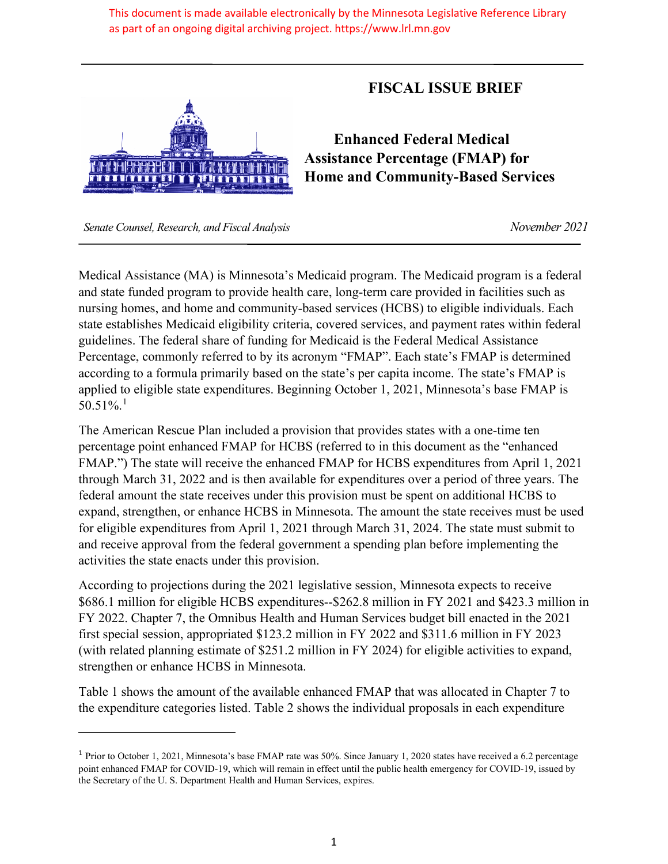This document is made available electronically by the Minnesota Legislative Reference Library as part of an ongoing digital archiving project. https://www.lrl.mn.gov



## **FISCAL ISSUE BRIEF**

**Enhanced Federal Medical Assistance Percentage (FMAP) for Home and Community-Based Services**

 *Senate Counsel, Research, and Fiscal Analysis November 2021*

Medical Assistance (MA) is Minnesota's Medicaid program. The Medicaid program is a federal and state funded program to provide health care, long-term care provided in facilities such as nursing homes, and home and community-based services (HCBS) to eligible individuals. Each state establishes Medicaid eligibility criteria, covered services, and payment rates within federal guidelines. The federal share of funding for Medicaid is the Federal Medical Assistance Percentage, commonly referred to by its acronym "FMAP". Each state's FMAP is determined according to a formula primarily based on the state's per capita income. The state's FMAP is applied to eligible state expenditures. Beginning October 1, 2021, Minnesota's base FMAP is 50.51%.<sup>1</sup>

The American Rescue Plan included a provision that provides states with a one-time ten percentage point enhanced FMAP for HCBS (referred to in this document as the "enhanced FMAP.") The state will receive the enhanced FMAP for HCBS expenditures from April 1, 2021 through March 31, 2022 and is then available for expenditures over a period of three years. The federal amount the state receives under this provision must be spent on additional HCBS to expand, strengthen, or enhance HCBS in Minnesota. The amount the state receives must be used for eligible expenditures from April 1, 2021 through March 31, 2024. The state must submit to and receive approval from the federal government a spending plan before implementing the activities the state enacts under this provision.

According to projections during the 2021 legislative session, Minnesota expects to receive \$686.1 million for eligible HCBS expenditures--\$262.8 million in FY 2021 and \$423.3 million in FY 2022. Chapter 7, the Omnibus Health and Human Services budget bill enacted in the 2021 first special session, appropriated \$123.2 million in FY 2022 and \$311.6 million in FY 2023 (with related planning estimate of \$251.2 million in FY 2024) for eligible activities to expand, strengthen or enhance HCBS in Minnesota.

Table 1 shows the amount of the available enhanced FMAP that was allocated in Chapter 7 to the expenditure categories listed. Table 2 shows the individual proposals in each expenditure

<sup>1</sup> Prior to October 1, 2021, Minnesota's base FMAP rate was 50%. Since January 1, 2020 states have received a 6.2 percentage point enhanced FMAP for COVID-19, which will remain in effect until the public health emergency for COVID-19, issued by the Secretary of the U. S. Department Health and Human Services, expires.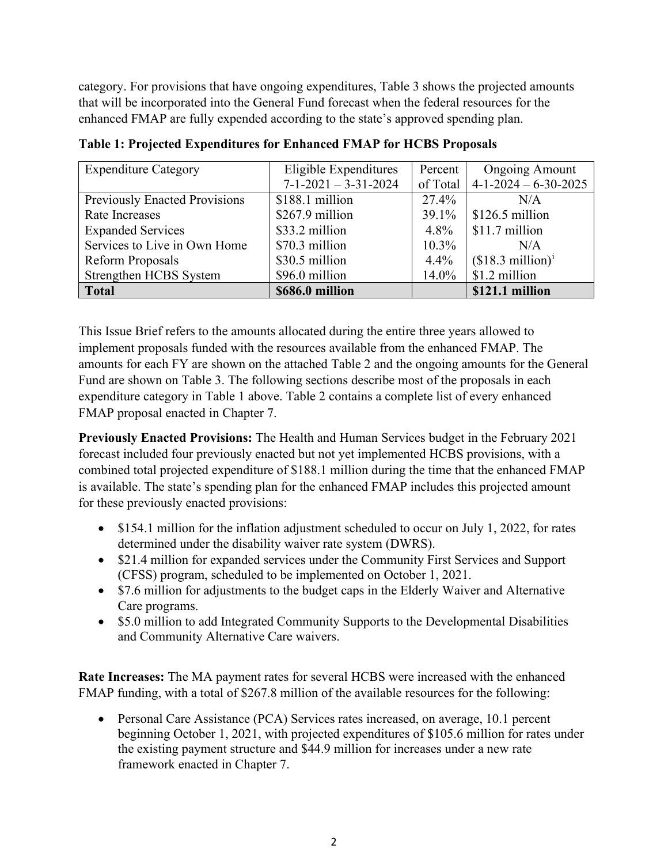category. For provisions that have ongoing expenditures, Table 3 shows the projected amounts that will be incorporated into the General Fund forecast when the federal resources for the enhanced FMAP are fully expended according to the state's approved spending plan.

| <b>Expenditure Category</b>   | Eligible Expenditures          | Percent  | <b>Ongoing Amount</b>       |
|-------------------------------|--------------------------------|----------|-----------------------------|
|                               | $7 - 1 - 2021 - 3 - 31 - 2024$ | of Total | $4-1-2024-6-30-2025$        |
| Previously Enacted Provisions | \$188.1 million                | 27.4%    | N/A                         |
| Rate Increases                | \$267.9 million                | 39.1%    | $$126.5$ million            |
| <b>Expanded Services</b>      | \$33.2 million                 | $4.8\%$  | \$11.7 million              |
| Services to Live in Own Home  | \$70.3 million                 | $10.3\%$ | N/A                         |
| Reform Proposals              | \$30.5 million                 | 4.4%     | $($18.3 \text{ million})^i$ |
| Strengthen HCBS System        | \$96.0 million                 | 14.0%    | \$1.2 million               |
| <b>Total</b>                  | \$686.0 million                |          | \$121.1 million             |

**Table 1: Projected Expenditures for Enhanced FMAP for HCBS Proposals**

This Issue Brief refers to the amounts allocated during the entire three years allowed to implement proposals funded with the resources available from the enhanced FMAP. The amounts for each FY are shown on the attached Table 2 and the ongoing amounts for the General Fund are shown on Table 3. The following sections describe most of the proposals in each expenditure category in Table 1 above. Table 2 contains a complete list of every enhanced FMAP proposal enacted in Chapter 7.

**Previously Enacted Provisions:** The Health and Human Services budget in the February 2021 forecast included four previously enacted but not yet implemented HCBS provisions, with a combined total projected expenditure of \$188.1 million during the time that the enhanced FMAP is available. The state's spending plan for the enhanced FMAP includes this projected amount for these previously enacted provisions:

- \$154.1 million for the inflation adjustment scheduled to occur on July 1, 2022, for rates determined under the disability waiver rate system (DWRS).
- \$21.4 million for expanded services under the Community First Services and Support (CFSS) program, scheduled to be implemented on October 1, 2021.
- \$7.6 million for adjustments to the budget caps in the Elderly Waiver and Alternative Care programs.
- \$5.0 million to add Integrated Community Supports to the Developmental Disabilities and Community Alternative Care waivers.

**Rate Increases:** The MA payment rates for several HCBS were increased with the enhanced FMAP funding, with a total of \$267.8 million of the available resources for the following:

• Personal Care Assistance (PCA) Services rates increased, on average, 10.1 percent beginning October 1, 2021, with projected expenditures of \$105.6 million for rates under the existing payment structure and \$44.9 million for increases under a new rate framework enacted in Chapter 7.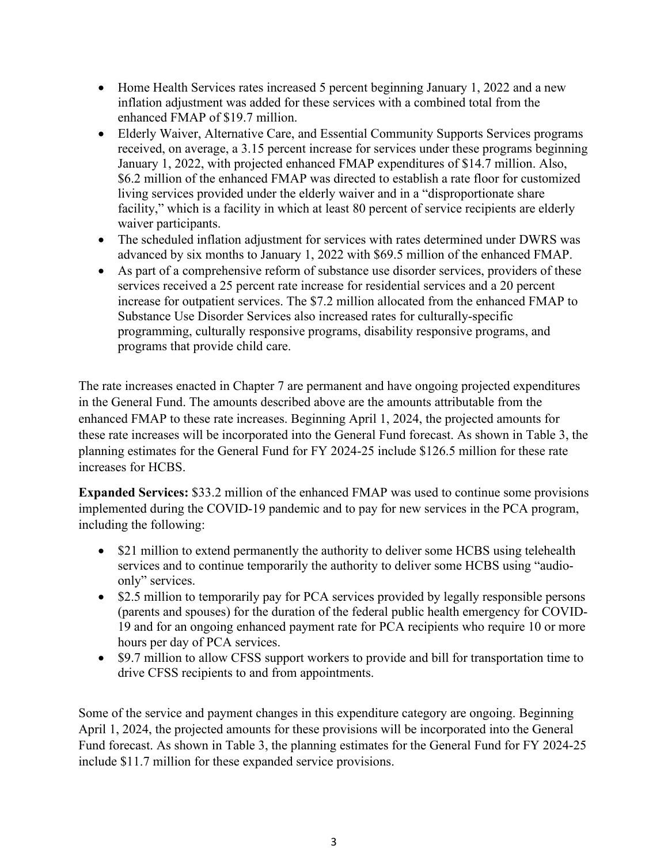- Home Health Services rates increased 5 percent beginning January 1, 2022 and a new inflation adjustment was added for these services with a combined total from the enhanced FMAP of \$19.7 million.
- Elderly Waiver, Alternative Care, and Essential Community Supports Services programs received, on average, a 3.15 percent increase for services under these programs beginning January 1, 2022, with projected enhanced FMAP expenditures of \$14.7 million. Also, \$6.2 million of the enhanced FMAP was directed to establish a rate floor for customized living services provided under the elderly waiver and in a "disproportionate share facility," which is a facility in which at least 80 percent of service recipients are elderly waiver participants.
- The scheduled inflation adjustment for services with rates determined under DWRS was advanced by six months to January 1, 2022 with \$69.5 million of the enhanced FMAP.
- As part of a comprehensive reform of substance use disorder services, providers of these services received a 25 percent rate increase for residential services and a 20 percent increase for outpatient services. The \$7.2 million allocated from the enhanced FMAP to Substance Use Disorder Services also increased rates for culturally-specific programming, culturally responsive programs, disability responsive programs, and programs that provide child care.

The rate increases enacted in Chapter 7 are permanent and have ongoing projected expenditures in the General Fund. The amounts described above are the amounts attributable from the enhanced FMAP to these rate increases. Beginning April 1, 2024, the projected amounts for these rate increases will be incorporated into the General Fund forecast. As shown in Table 3, the planning estimates for the General Fund for FY 2024-25 include \$126.5 million for these rate increases for HCBS.

**Expanded Services:** \$33.2 million of the enhanced FMAP was used to continue some provisions implemented during the COVID-19 pandemic and to pay for new services in the PCA program, including the following:

- \$21 million to extend permanently the authority to deliver some HCBS using telehealth services and to continue temporarily the authority to deliver some HCBS using "audioonly" services.
- \$2.5 million to temporarily pay for PCA services provided by legally responsible persons (parents and spouses) for the duration of the federal public health emergency for COVID-19 and for an ongoing enhanced payment rate for PCA recipients who require 10 or more hours per day of PCA services.
- \$9.7 million to allow CFSS support workers to provide and bill for transportation time to drive CFSS recipients to and from appointments.

Some of the service and payment changes in this expenditure category are ongoing. Beginning April 1, 2024, the projected amounts for these provisions will be incorporated into the General Fund forecast. As shown in Table 3, the planning estimates for the General Fund for FY 2024-25 include \$11.7 million for these expanded service provisions.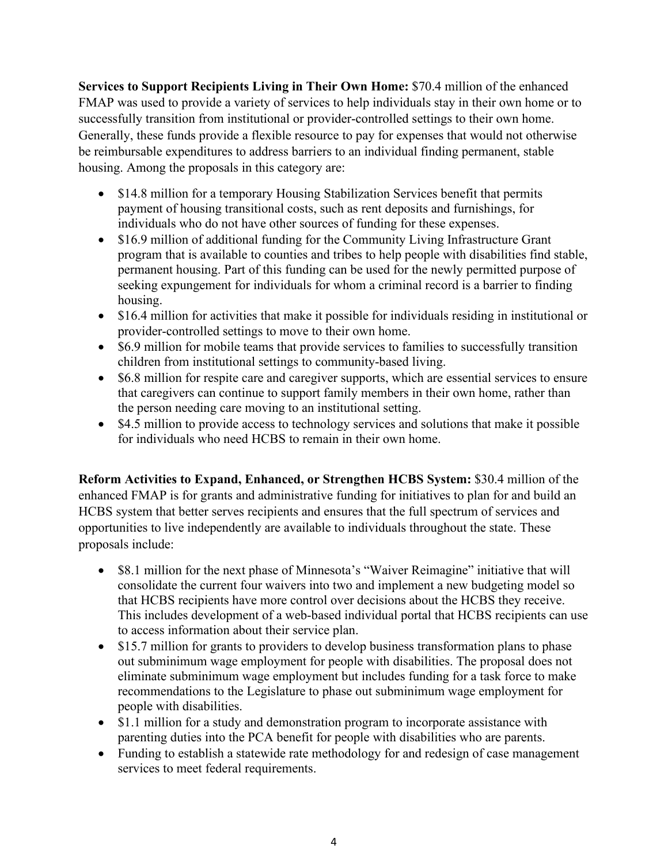**Services to Support Recipients Living in Their Own Home:** \$70.4 million of the enhanced FMAP was used to provide a variety of services to help individuals stay in their own home or to successfully transition from institutional or provider-controlled settings to their own home. Generally, these funds provide a flexible resource to pay for expenses that would not otherwise be reimbursable expenditures to address barriers to an individual finding permanent, stable housing. Among the proposals in this category are:

- \$14.8 million for a temporary Housing Stabilization Services benefit that permits payment of housing transitional costs, such as rent deposits and furnishings, for individuals who do not have other sources of funding for these expenses.
- \$16.9 million of additional funding for the Community Living Infrastructure Grant program that is available to counties and tribes to help people with disabilities find stable, permanent housing. Part of this funding can be used for the newly permitted purpose of seeking expungement for individuals for whom a criminal record is a barrier to finding housing.
- \$16.4 million for activities that make it possible for individuals residing in institutional or provider-controlled settings to move to their own home.
- \$6.9 million for mobile teams that provide services to families to successfully transition children from institutional settings to community-based living.
- \$6.8 million for respite care and caregiver supports, which are essential services to ensure that caregivers can continue to support family members in their own home, rather than the person needing care moving to an institutional setting.
- \$4.5 million to provide access to technology services and solutions that make it possible for individuals who need HCBS to remain in their own home.

**Reform Activities to Expand, Enhanced, or Strengthen HCBS System:** \$30.4 million of the enhanced FMAP is for grants and administrative funding for initiatives to plan for and build an HCBS system that better serves recipients and ensures that the full spectrum of services and opportunities to live independently are available to individuals throughout the state. These proposals include:

- \$8.1 million for the next phase of Minnesota's "Waiver Reimagine" initiative that will consolidate the current four waivers into two and implement a new budgeting model so that HCBS recipients have more control over decisions about the HCBS they receive. This includes development of a web-based individual portal that HCBS recipients can use to access information about their service plan.
- \$15.7 million for grants to providers to develop business transformation plans to phase out subminimum wage employment for people with disabilities. The proposal does not eliminate subminimum wage employment but includes funding for a task force to make recommendations to the Legislature to phase out subminimum wage employment for people with disabilities.
- \$1.1 million for a study and demonstration program to incorporate assistance with parenting duties into the PCA benefit for people with disabilities who are parents.
- Funding to establish a statewide rate methodology for and redesign of case management services to meet federal requirements.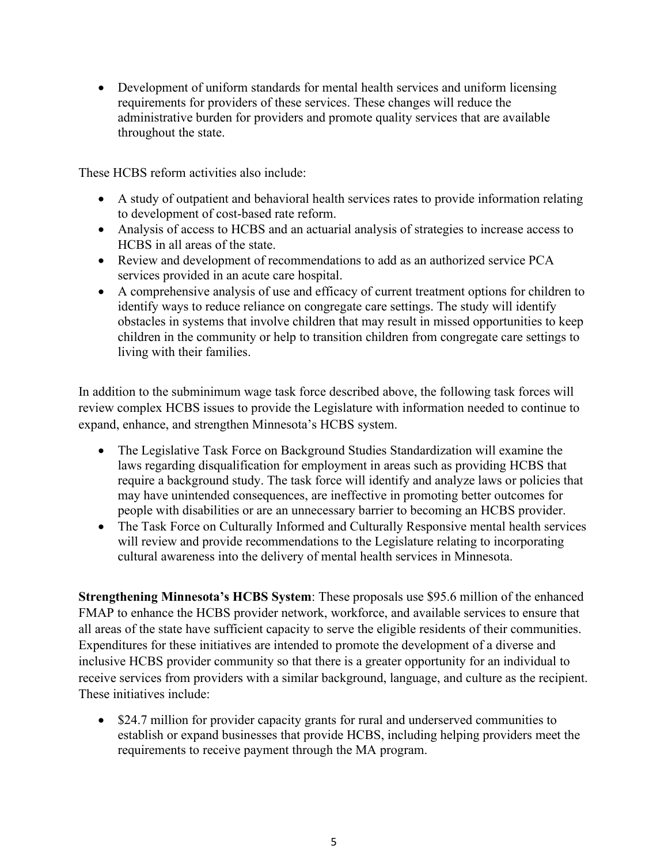• Development of uniform standards for mental health services and uniform licensing requirements for providers of these services. These changes will reduce the administrative burden for providers and promote quality services that are available throughout the state.

These HCBS reform activities also include:

- A study of outpatient and behavioral health services rates to provide information relating to development of cost-based rate reform.
- Analysis of access to HCBS and an actuarial analysis of strategies to increase access to HCBS in all areas of the state.
- Review and development of recommendations to add as an authorized service PCA services provided in an acute care hospital.
- A comprehensive analysis of use and efficacy of current treatment options for children to identify ways to reduce reliance on congregate care settings. The study will identify obstacles in systems that involve children that may result in missed opportunities to keep children in the community or help to transition children from congregate care settings to living with their families.

In addition to the subminimum wage task force described above, the following task forces will review complex HCBS issues to provide the Legislature with information needed to continue to expand, enhance, and strengthen Minnesota's HCBS system.

- The Legislative Task Force on Background Studies Standardization will examine the laws regarding disqualification for employment in areas such as providing HCBS that require a background study. The task force will identify and analyze laws or policies that may have unintended consequences, are ineffective in promoting better outcomes for people with disabilities or are an unnecessary barrier to becoming an HCBS provider.
- The Task Force on Culturally Informed and Culturally Responsive mental health services will review and provide recommendations to the Legislature relating to incorporating cultural awareness into the delivery of mental health services in Minnesota.

**Strengthening Minnesota's HCBS System**: These proposals use \$95.6 million of the enhanced FMAP to enhance the HCBS provider network, workforce, and available services to ensure that all areas of the state have sufficient capacity to serve the eligible residents of their communities. Expenditures for these initiatives are intended to promote the development of a diverse and inclusive HCBS provider community so that there is a greater opportunity for an individual to receive services from providers with a similar background, language, and culture as the recipient. These initiatives include:

• \$24.7 million for provider capacity grants for rural and underserved communities to establish or expand businesses that provide HCBS, including helping providers meet the requirements to receive payment through the MA program.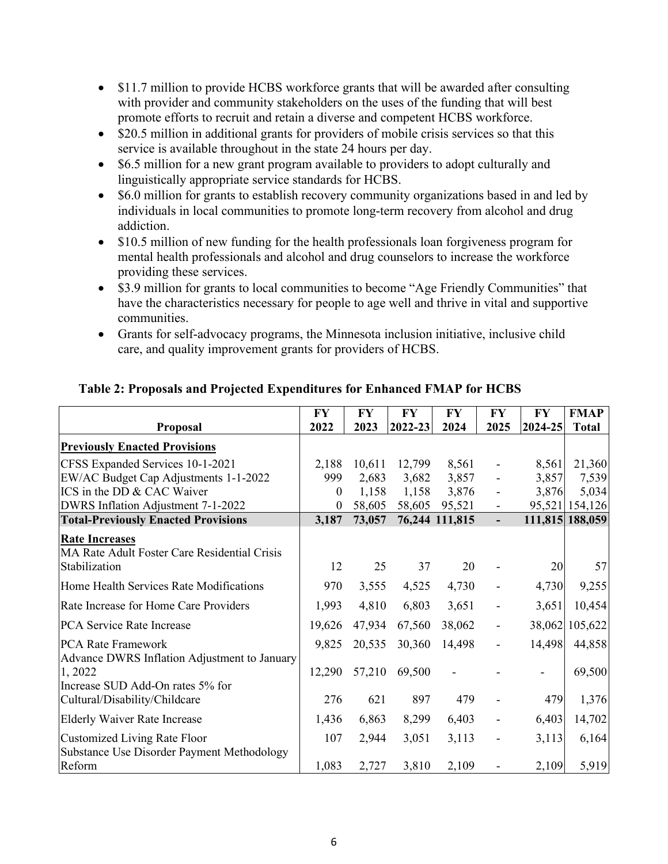- \$11.7 million to provide HCBS workforce grants that will be awarded after consulting with provider and community stakeholders on the uses of the funding that will best promote efforts to recruit and retain a diverse and competent HCBS workforce.
- \$20.5 million in additional grants for providers of mobile crisis services so that this service is available throughout in the state 24 hours per day.
- \$6.5 million for a new grant program available to providers to adopt culturally and linguistically appropriate service standards for HCBS.
- \$6.0 million for grants to establish recovery community organizations based in and led by individuals in local communities to promote long-term recovery from alcohol and drug addiction.
- \$10.5 million of new funding for the health professionals loan forgiveness program for mental health professionals and alcohol and drug counselors to increase the workforce providing these services.
- \$3.9 million for grants to local communities to become "Age Friendly Communities" that have the characteristics necessary for people to age well and thrive in vital and supportive communities.
- Grants for self-advocacy programs, the Minnesota inclusion initiative, inclusive child care, and quality improvement grants for providers of HCBS.

|                                                                                        | FY               | <b>FY</b> | <b>FY</b>   | <b>FY</b>      | FY                       | <b>FY</b> | <b>FMAP</b>     |
|----------------------------------------------------------------------------------------|------------------|-----------|-------------|----------------|--------------------------|-----------|-----------------|
| <b>Proposal</b>                                                                        | 2022             | 2023      | $ 2022-23 $ | 2024           | 2025                     | 2024-25   | <b>Total</b>    |
| <b>Previously Enacted Provisions</b>                                                   |                  |           |             |                |                          |           |                 |
| CFSS Expanded Services 10-1-2021                                                       | 2,188            | 10,611    | 12,799      | 8,561          | $\overline{\phantom{a}}$ | 8,561     | 21,360          |
| EW/AC Budget Cap Adjustments 1-1-2022                                                  | 999              | 2,683     | 3,682       | 3,857          |                          | 3,857     | 7,539           |
| ICS in the DD & CAC Waiver                                                             | $\boldsymbol{0}$ | 1,158     | 1,158       | 3,876          |                          | 3,876     | 5,034           |
| DWRS Inflation Adjustment 7-1-2022                                                     | $\boldsymbol{0}$ | 58,605    | 58,605      | 95,521         | $\overline{\phantom{a}}$ |           | 95,521 154,126  |
| <b>Total-Previously Enacted Provisions</b>                                             | 3,187            | 73,057    |             | 76,244 111,815 | $\overline{\phantom{a}}$ |           | 111,815 188,059 |
| <b>Rate Increases</b><br>MA Rate Adult Foster Care Residential Crisis<br>Stabilization | 12               | 25        | 37          | 20             |                          | 20        | 57              |
| Home Health Services Rate Modifications                                                | 970              | 3,555     | 4,525       | 4,730          |                          | 4,730     | 9,255           |
| Rate Increase for Home Care Providers                                                  | 1,993            | 4,810     | 6,803       | 3,651          |                          | 3,651     | 10,454          |
| PCA Service Rate Increase                                                              | 19,626           | 47,934    | 67,560      | 38,062         |                          |           | 38,062 105,622  |
| PCA Rate Framework<br>Advance DWRS Inflation Adjustment to January                     | 9,825            | 20,535    | 30,360      | 14,498         | $\blacksquare$           | 14,498    | 44,858          |
| 1,2022<br>Increase SUD Add-On rates 5% for                                             | 12,290           | 57,210    | 69,500      |                |                          |           | 69,500          |
| Cultural/Disability/Childcare                                                          | 276              | 621       | 897         | 479            |                          | 479       | 1,376           |
| <b>Elderly Waiver Rate Increase</b>                                                    | 1,436            | 6,863     | 8,299       | 6,403          |                          | 6,403     | 14,702          |
| <b>Customized Living Rate Floor</b><br>Substance Use Disorder Payment Methodology      | 107              | 2,944     | 3,051       | 3,113          |                          | 3,113     | 6,164           |
| Reform                                                                                 | 1,083            | 2,727     | 3,810       | 2,109          | $\blacksquare$           | 2,109     | 5,919           |

## **Table 2: Proposals and Projected Expenditures for Enhanced FMAP for HCBS**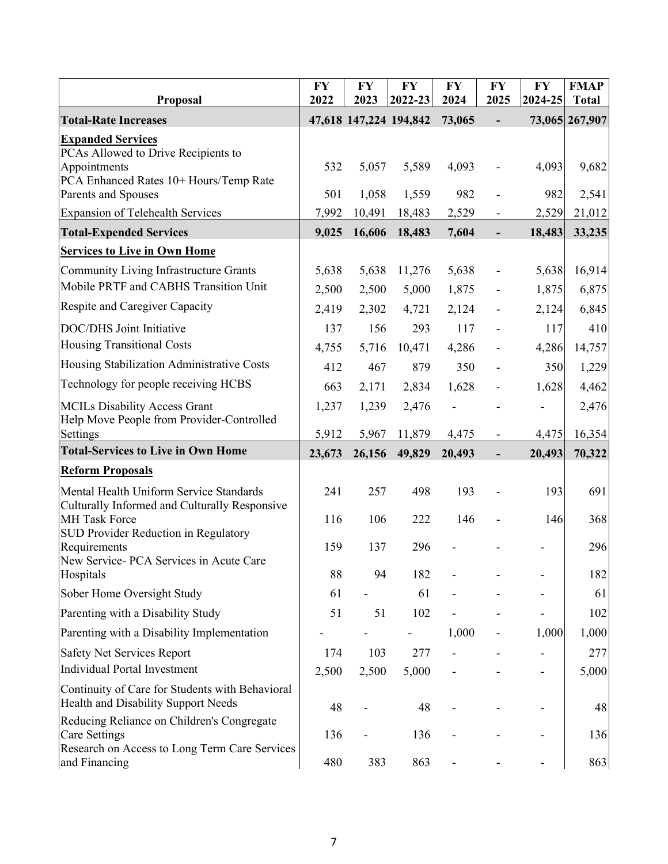| Proposal                                                                                                                                         | <b>FY</b><br>2022       | <b>FY</b><br>2023       | <b>FY</b><br>2022-23     | <b>FY</b><br>2024       | FY<br>2025                                                   | <b>FY</b><br>2024-25     | <b>FMAP</b><br><b>Total</b> |
|--------------------------------------------------------------------------------------------------------------------------------------------------|-------------------------|-------------------------|--------------------------|-------------------------|--------------------------------------------------------------|--------------------------|-----------------------------|
| <b>Total-Rate Increases</b>                                                                                                                      |                         |                         | 47,618 147,224 194,842   | 73,065                  | $\overline{a}$                                               |                          | 73,065 267,907              |
| <b>Expanded Services</b><br>PCAs Allowed to Drive Recipients to<br>Appointments<br>PCA Enhanced Rates 10+ Hours/Temp Rate<br>Parents and Spouses | 532<br>501              | 5,057<br>1,058          | 5,589<br>1,559           | 4,093<br>982            |                                                              | 4,093<br>982             | 9,682<br>2,541              |
| <b>Expansion of Telehealth Services</b>                                                                                                          | 7,992                   | 10,491                  | 18,483                   | 2,529                   |                                                              | 2,529                    | 21,012                      |
| <b>Total-Expended Services</b>                                                                                                                   | 9,025                   | 16,606                  | 18,483                   | 7,604                   | $\overline{\phantom{a}}$                                     | 18,483                   | 33,235                      |
| <b>Services to Live in Own Home</b>                                                                                                              |                         |                         |                          |                         |                                                              |                          |                             |
| <b>Community Living Infrastructure Grants</b><br>Mobile PRTF and CABHS Transition Unit<br>Respite and Caregiver Capacity                         | 5,638<br>2,500<br>2,419 | 5,638<br>2,500<br>2,302 | 11,276<br>5,000<br>4,721 | 5,638<br>1,875<br>2,124 | $\overline{\phantom{0}}$<br>$\overline{\phantom{a}}$         | 5,638<br>1,875<br>2,124  | 16,914<br>6,875<br>6,845    |
| DOC/DHS Joint Initiative                                                                                                                         | 137                     | 156                     | 293                      | 117                     | $\qquad \qquad \blacksquare$<br>$\qquad \qquad \blacksquare$ | 117                      | 410                         |
| <b>Housing Transitional Costs</b>                                                                                                                | 4,755                   | 5,716                   | 10,471                   | 4,286                   | $\qquad \qquad \blacksquare$                                 | 4,286                    | 14,757                      |
| Housing Stabilization Administrative Costs                                                                                                       | 412                     | 467                     | 879                      | 350                     | $\overline{\phantom{a}}$                                     | 350                      | 1,229                       |
| Technology for people receiving HCBS                                                                                                             | 663                     | 2,171                   | 2,834                    | 1,628                   |                                                              | 1,628                    | 4,462                       |
| <b>MCILs Disability Access Grant</b><br>Help Move People from Provider-Controlled                                                                | 1,237                   | 1,239                   | 2,476                    |                         | $\qquad \qquad \blacksquare$                                 |                          | 2,476                       |
| Settings                                                                                                                                         | 5,912                   | 5,967                   | 11,879                   | 4,475                   | $\overline{\phantom{a}}$                                     | 4,475                    | 16,354                      |
| <b>Total-Services to Live in Own Home</b>                                                                                                        | 23,673                  | 26,156                  | 49,829                   | 20,493                  | $\blacksquare$                                               | 20,493                   | 70,322                      |
| <b>Reform Proposals</b>                                                                                                                          |                         |                         |                          |                         |                                                              |                          |                             |
| Mental Health Uniform Service Standards<br>Culturally Informed and Culturally Responsive                                                         | 241                     | 257                     | 498                      | 193                     |                                                              | 193                      | 691                         |
| <b>MH</b> Task Force<br>SUD Provider Reduction in Regulatory                                                                                     | 116                     | 106                     | 222                      | 146                     |                                                              | 146                      | 368                         |
| Requirements<br>New Service- PCA Services in Acute Care                                                                                          | 159                     | 137                     | 296                      |                         |                                                              |                          | 296                         |
| Hospitals                                                                                                                                        | 88                      | 94                      | 182                      |                         |                                                              |                          | 182                         |
| Sober Home Oversight Study                                                                                                                       | 61                      |                         | 61                       |                         |                                                              |                          | 61                          |
| Parenting with a Disability Study                                                                                                                | 51                      | 51                      | 102                      |                         |                                                              | $\overline{\phantom{a}}$ | 102                         |
| Parenting with a Disability Implementation                                                                                                       |                         |                         |                          | 1,000                   |                                                              | 1,000                    | 1,000                       |
| Safety Net Services Report                                                                                                                       | 174                     | 103                     | 277                      |                         |                                                              |                          | 277                         |
| <b>Individual Portal Investment</b>                                                                                                              | 2,500                   | 2,500                   | 5,000                    |                         |                                                              |                          | 5,000                       |
| Continuity of Care for Students with Behavioral<br>Health and Disability Support Needs                                                           | 48                      |                         | 48                       |                         |                                                              |                          | 48                          |
| Reducing Reliance on Children's Congregate<br>Care Settings<br>Research on Access to Long Term Care Services                                     | 136                     |                         | 136                      |                         |                                                              |                          | 136                         |
| and Financing                                                                                                                                    | 480                     | 383                     | 863                      |                         |                                                              |                          | 863                         |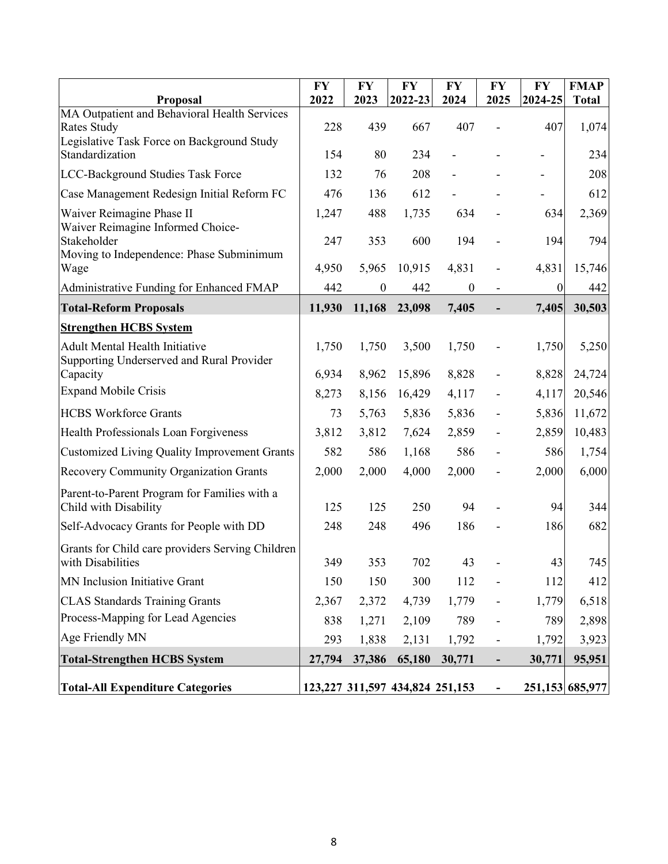| Proposal                                                                           | <b>FY</b><br>2022 | <b>FY</b><br>2023 | <b>FY</b><br>2022-23            | <b>FY</b><br>2024 | <b>FY</b><br>2025            | <b>FY</b><br>2024-25 | <b>FMAP</b><br><b>Total</b> |
|------------------------------------------------------------------------------------|-------------------|-------------------|---------------------------------|-------------------|------------------------------|----------------------|-----------------------------|
| MA Outpatient and Behavioral Health Services<br>Rates Study                        | 228               | 439               | 667                             | 407               |                              | 407                  | 1,074                       |
| Legislative Task Force on Background Study<br>Standardization                      | 154               | 80                | 234                             |                   |                              |                      | 234                         |
| LCC-Background Studies Task Force                                                  | 132               | 76                | 208                             |                   |                              |                      | 208                         |
| Case Management Redesign Initial Reform FC                                         | 476               | 136               | 612                             |                   |                              |                      | 612                         |
| Waiver Reimagine Phase II<br>Waiver Reimagine Informed Choice-                     | 1,247             | 488               | 1,735                           | 634               |                              | 634                  | 2,369                       |
| Stakeholder<br>Moving to Independence: Phase Subminimum                            | 247               | 353               | 600                             | 194               |                              | 194                  | 794                         |
| Wage                                                                               | 4,950             | 5,965             | 10,915                          | 4,831             |                              | 4,831                | 15,746                      |
| Administrative Funding for Enhanced FMAP                                           | 442               | $\boldsymbol{0}$  | 442                             | $\boldsymbol{0}$  | $\overline{\phantom{a}}$     | $\theta$             | 442                         |
| <b>Total-Reform Proposals</b>                                                      | 11,930            | 11,168            | 23,098                          | 7,405             | $\overline{\phantom{0}}$     | 7,405                | 30,503                      |
| <b>Strengthen HCBS System</b>                                                      |                   |                   |                                 |                   |                              |                      |                             |
| <b>Adult Mental Health Initiative</b><br>Supporting Underserved and Rural Provider | 1,750             | 1,750             | 3,500                           | 1,750             | $\overline{\phantom{0}}$     | 1,750                | 5,250                       |
| Capacity                                                                           | 6,934             | 8,962             | 15,896                          | 8,828             |                              | 8,828                | 24,724                      |
| <b>Expand Mobile Crisis</b>                                                        | 8,273             | 8,156             | 16,429                          | 4,117             |                              | 4,117                | 20,546                      |
| <b>HCBS Workforce Grants</b>                                                       | 73                | 5,763             | 5,836                           | 5,836             |                              | 5,836                | 11,672                      |
| Health Professionals Loan Forgiveness                                              | 3,812             | 3,812             | 7,624                           | 2,859             |                              | 2,859                | 10,483                      |
| <b>Customized Living Quality Improvement Grants</b>                                | 582               | 586               | 1,168                           | 586               |                              | 586                  | 1,754                       |
| Recovery Community Organization Grants                                             | 2,000             | 2,000             | 4,000                           | 2,000             | $\qquad \qquad \blacksquare$ | 2,000                | 6,000                       |
| Parent-to-Parent Program for Families with a<br>Child with Disability              | 125               | 125               | 250                             | 94                |                              | 94                   | 344                         |
| Self-Advocacy Grants for People with DD                                            | 248               | 248               | 496                             | 186               |                              | 186                  | 682                         |
| Grants for Child care providers Serving Children<br>with Disabilities              | 349               | 353               | 702                             | 43                |                              | 43                   | 745                         |
| MN Inclusion Initiative Grant                                                      | 150               | 150               | 300                             | 112               |                              | 112                  | 412                         |
| <b>CLAS Standards Training Grants</b>                                              | 2,367             | 2,372             | 4,739                           | 1,779             |                              | 1,779                | 6,518                       |
| Process-Mapping for Lead Agencies                                                  | 838               | 1,271             | 2,109                           | 789               |                              | 789                  | 2,898                       |
| Age Friendly MN                                                                    | 293               | 1,838             | 2,131                           | 1,792             |                              | 1,792                | 3,923                       |
| <b>Total-Strengthen HCBS System</b>                                                | 27,794            | 37,386            | 65,180                          | 30,771            |                              | 30,771               | 95,951                      |
| <b>Total-All Expenditure Categories</b>                                            |                   |                   | 123,227 311,597 434,824 251,153 |                   | $\blacksquare$               |                      | 251,153 685,977             |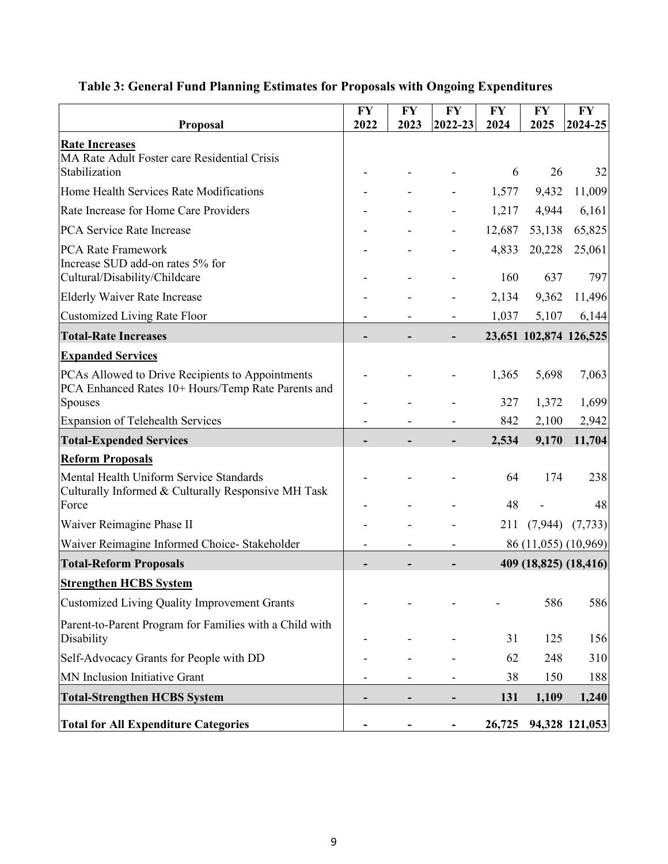|                                                                                                        | <b>FY</b> | <b>FY</b> | <b>FY</b>      | <b>FY</b>    | <b>FY</b>     | <b>FY</b>              |
|--------------------------------------------------------------------------------------------------------|-----------|-----------|----------------|--------------|---------------|------------------------|
| <b>Proposal</b>                                                                                        | 2022      | 2023      | 2022-23        | 2024         | 2025          | 2024-25                |
| <b>Rate Increases</b><br>MA Rate Adult Foster care Residential Crisis<br>Stabilization                 |           |           |                | 6            | 26            | 32                     |
|                                                                                                        |           |           |                |              |               |                        |
| Home Health Services Rate Modifications                                                                |           |           |                | 1,577        | 9,432         | 11,009                 |
| Rate Increase for Home Care Providers                                                                  |           |           |                | 1,217        | 4,944         | 6,161                  |
| <b>PCA Service Rate Increase</b>                                                                       |           |           |                | 12,687       | 53,138        | 65,825                 |
| <b>PCA Rate Framework</b><br>Increase SUD add-on rates 5% for                                          |           |           |                | 4,833<br>160 | 20,228<br>637 | 25,061<br>797          |
| Cultural/Disability/Childcare                                                                          |           |           |                |              |               |                        |
| <b>Elderly Waiver Rate Increase</b>                                                                    |           |           |                | 2,134        | 9,362         | 11,496                 |
| Customized Living Rate Floor                                                                           |           |           |                | 1,037        | 5,107         | 6,144                  |
| <b>Total-Rate Increases</b>                                                                            |           |           |                |              |               | 23,651 102,874 126,525 |
| <b>Expanded Services</b>                                                                               |           |           |                |              |               |                        |
| PCAs Allowed to Drive Recipients to Appointments<br>PCA Enhanced Rates 10+ Hours/Temp Rate Parents and |           |           |                | 1,365        | 5,698         | 7,063                  |
| Spouses                                                                                                |           |           |                | 327          | 1,372         | 1,699                  |
| <b>Expansion of Telehealth Services</b>                                                                |           |           |                | 842          | 2,100         | 2,942                  |
| <b>Total-Expended Services</b>                                                                         |           |           |                | 2,534        | 9,170         | 11,704                 |
| <b>Reform Proposals</b>                                                                                |           |           |                |              |               |                        |
| Mental Health Uniform Service Standards<br>Culturally Informed & Culturally Responsive MH Task         |           |           |                | 64           | 174           | 238                    |
| Force                                                                                                  |           |           |                | 48           |               | 48                     |
| Waiver Reimagine Phase II                                                                              |           |           |                | 211          | (7,944)       | (7, 733)               |
| Waiver Reimagine Informed Choice-Stakeholder                                                           |           |           |                |              |               | 86 (11,055) (10,969)   |
| <b>Total-Reform Proposals</b>                                                                          |           |           |                |              |               | 409 (18,825) (18,416)  |
| <b>Strengthen HCBS System</b>                                                                          |           |           |                |              |               |                        |
| Customized Living Quality Improvement Grants                                                           |           |           |                |              | 586           | 586                    |
| Parent-to-Parent Program for Families with a Child with<br>Disability                                  |           |           |                | 31           | 125           | 156                    |
| Self-Advocacy Grants for People with DD                                                                |           |           |                | 62           | 248           | 310                    |
| MN Inclusion Initiative Grant                                                                          |           |           |                | 38           | 150           | 188                    |
| <b>Total-Strengthen HCBS System</b>                                                                    |           |           |                | 131          | 1,109         | 1,240                  |
| <b>Total for All Expenditure Categories</b>                                                            |           |           | $\blacksquare$ | 26,725       |               | 94,328 121,053         |

## **Table 3: General Fund Planning Estimates for Proposals with Ongoing Expenditures**